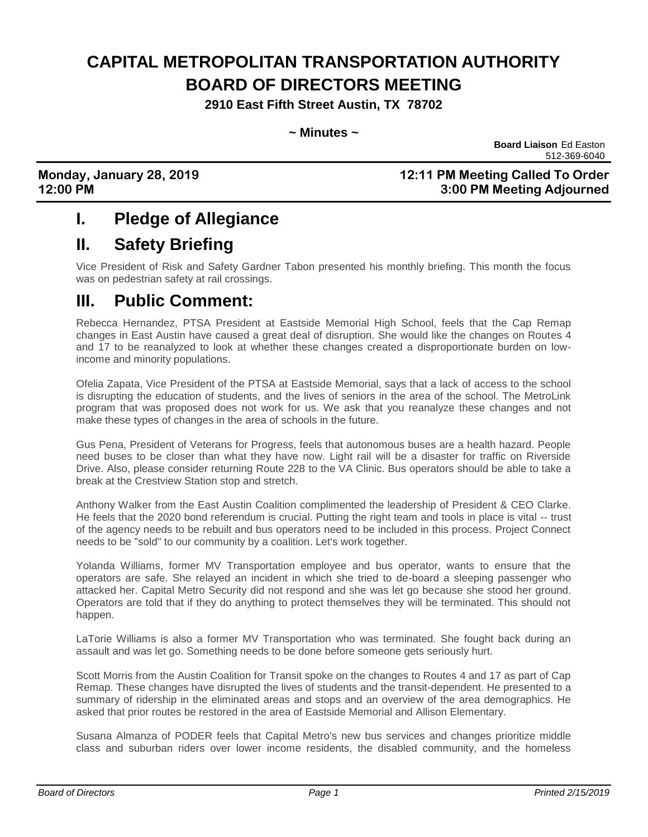# **CAPITAL METROPOLITAN TRANSPORTATION AUTHORITY BOARD OF DIRECTORS MEETING**

**2910 East Fifth Street Austin, TX 78702**

#### **~ Minutes ~**

**Board Liaison** Ed Easton 512-369-6040

**Monday, January 28, 2019 12:11 PM Meeting Called To Order 12:00 PM 3:00 PM Meeting Adjourned**

### **I. Pledge of Allegiance**

### **II. Safety Briefing**

Vice President of Risk and Safety Gardner Tabon presented his monthly briefing. This month the focus was on pedestrian safety at rail crossings.

### **III. Public Comment:**

Rebecca Hernandez, PTSA President at Eastside Memorial High School, feels that the Cap Remap changes in East Austin have caused a great deal of disruption. She would like the changes on Routes 4 and 17 to be reanalyzed to look at whether these changes created a disproportionate burden on lowincome and minority populations.

Ofelia Zapata, Vice President of the PTSA at Eastside Memorial, says that a lack of access to the school is disrupting the education of students, and the lives of seniors in the area of the school. The MetroLink program that was proposed does not work for us. We ask that you reanalyze these changes and not make these types of changes in the area of schools in the future.

Gus Pena, President of Veterans for Progress, feels that autonomous buses are a health hazard. People need buses to be closer than what they have now. Light rail will be a disaster for traffic on Riverside Drive. Also, please consider returning Route 228 to the VA Clinic. Bus operators should be able to take a break at the Crestview Station stop and stretch.

Anthony Walker from the East Austin Coalition complimented the leadership of President & CEO Clarke. He feels that the 2020 bond referendum is crucial. Putting the right team and tools in place is vital -- trust of the agency needs to be rebuilt and bus operators need to be included in this process. Project Connect needs to be "sold" to our community by a coalition. Let's work together.

Yolanda Williams, former MV Transportation employee and bus operator, wants to ensure that the operators are safe. She relayed an incident in which she tried to de-board a sleeping passenger who attacked her. Capital Metro Security did not respond and she was let go because she stood her ground. Operators are told that if they do anything to protect themselves they will be terminated. This should not happen.

LaTorie Williams is also a former MV Transportation who was terminated. She fought back during an assault and was let go. Something needs to be done before someone gets seriously hurt.

Scott Morris from the Austin Coalition for Transit spoke on the changes to Routes 4 and 17 as part of Cap Remap. These changes have disrupted the lives of students and the transit-dependent. He presented to a summary of ridership in the eliminated areas and stops and an overview of the area demographics. He asked that prior routes be restored in the area of Eastside Memorial and Allison Elementary.

Susana Almanza of PODER feels that Capital Metro's new bus services and changes prioritize middle class and suburban riders over lower income residents, the disabled community, and the homeless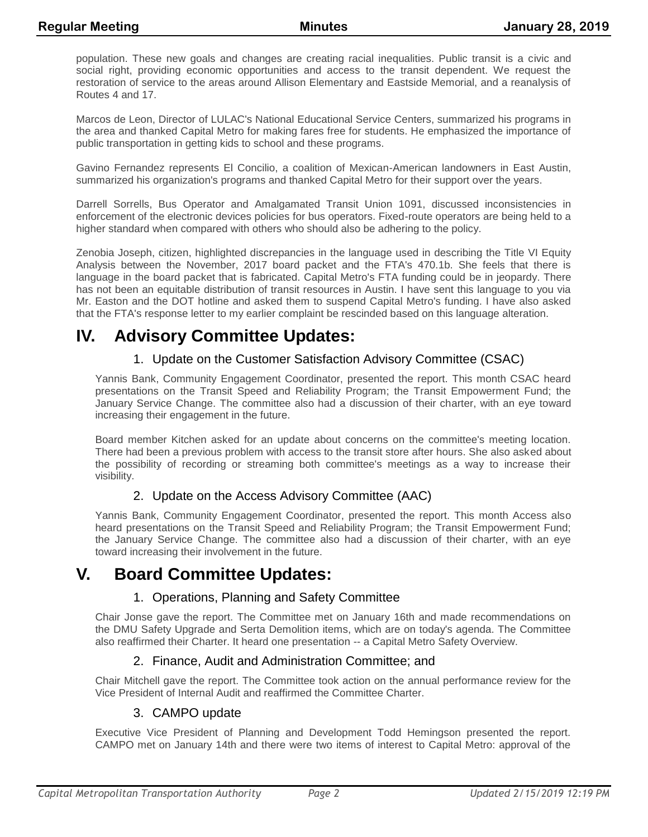population. These new goals and changes are creating racial inequalities. Public transit is a civic and social right, providing economic opportunities and access to the transit dependent. We request the restoration of service to the areas around Allison Elementary and Eastside Memorial, and a reanalysis of Routes 4 and 17.

Marcos de Leon, Director of LULAC's National Educational Service Centers, summarized his programs in the area and thanked Capital Metro for making fares free for students. He emphasized the importance of public transportation in getting kids to school and these programs.

Gavino Fernandez represents El Concilio, a coalition of Mexican-American landowners in East Austin, summarized his organization's programs and thanked Capital Metro for their support over the years.

Darrell Sorrells, Bus Operator and Amalgamated Transit Union 1091, discussed inconsistencies in enforcement of the electronic devices policies for bus operators. Fixed-route operators are being held to a higher standard when compared with others who should also be adhering to the policy.

Zenobia Joseph, citizen, highlighted discrepancies in the language used in describing the Title VI Equity Analysis between the November, 2017 board packet and the FTA's 470.1b. She feels that there is language in the board packet that is fabricated. Capital Metro's FTA funding could be in jeopardy. There has not been an equitable distribution of transit resources in Austin. I have sent this language to you via Mr. Easton and the DOT hotline and asked them to suspend Capital Metro's funding. I have also asked that the FTA's response letter to my earlier complaint be rescinded based on this language alteration.

# **IV. Advisory Committee Updates:**

### 1. Update on the Customer Satisfaction Advisory Committee (CSAC)

Yannis Bank, Community Engagement Coordinator, presented the report. This month CSAC heard presentations on the Transit Speed and Reliability Program; the Transit Empowerment Fund; the January Service Change. The committee also had a discussion of their charter, with an eye toward increasing their engagement in the future.

Board member Kitchen asked for an update about concerns on the committee's meeting location. There had been a previous problem with access to the transit store after hours. She also asked about the possibility of recording or streaming both committee's meetings as a way to increase their visibility.

### 2. Update on the Access Advisory Committee (AAC)

Yannis Bank, Community Engagement Coordinator, presented the report. This month Access also heard presentations on the Transit Speed and Reliability Program; the Transit Empowerment Fund; the January Service Change. The committee also had a discussion of their charter, with an eye toward increasing their involvement in the future.

# **V. Board Committee Updates:**

### 1. Operations, Planning and Safety Committee

Chair Jonse gave the report. The Committee met on January 16th and made recommendations on the DMU Safety Upgrade and Serta Demolition items, which are on today's agenda. The Committee also reaffirmed their Charter. It heard one presentation -- a Capital Metro Safety Overview.

### 2. Finance, Audit and Administration Committee; and

Chair Mitchell gave the report. The Committee took action on the annual performance review for the Vice President of Internal Audit and reaffirmed the Committee Charter.

#### 3. CAMPO update

Executive Vice President of Planning and Development Todd Hemingson presented the report. CAMPO met on January 14th and there were two items of interest to Capital Metro: approval of the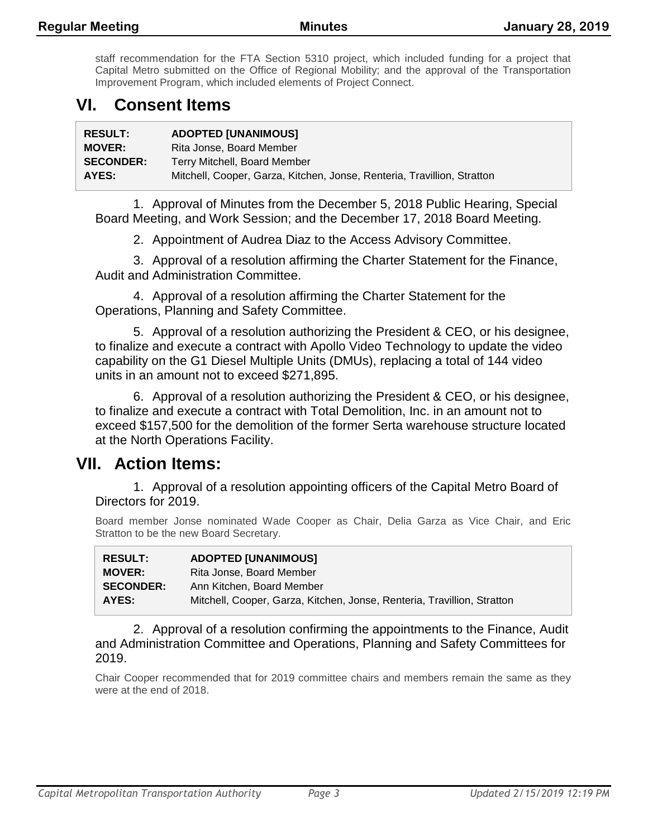staff recommendation for the FTA Section 5310 project, which included funding for a project that Capital Metro submitted on the Office of Regional Mobility; and the approval of the Transportation Improvement Program, which included elements of Project Connect.

# **VI. Consent Items**

| <b>RESULT:</b>   | <b>ADOPTED [UNANIMOUS]</b>                                              |
|------------------|-------------------------------------------------------------------------|
| <b>MOVER:</b>    | Rita Jonse, Board Member                                                |
| <b>SECONDER:</b> | Terry Mitchell, Board Member                                            |
| AYES:            | Mitchell, Cooper, Garza, Kitchen, Jonse, Renteria, Travillion, Stratton |

1. Approval of Minutes from the December 5, 2018 Public Hearing, Special Board Meeting, and Work Session; and the December 17, 2018 Board Meeting.

2. Appointment of Audrea Diaz to the Access Advisory Committee.

3. Approval of a resolution affirming the Charter Statement for the Finance, Audit and Administration Committee.

4. Approval of a resolution affirming the Charter Statement for the Operations, Planning and Safety Committee.

5. Approval of a resolution authorizing the President & CEO, or his designee, to finalize and execute a contract with Apollo Video Technology to update the video capability on the G1 Diesel Multiple Units (DMUs), replacing a total of 144 video units in an amount not to exceed \$271,895.

6. Approval of a resolution authorizing the President & CEO, or his designee, to finalize and execute a contract with Total Demolition, Inc. in an amount not to exceed \$157,500 for the demolition of the former Serta warehouse structure located at the North Operations Facility.

### **VII. Action Items:**

1. Approval of a resolution appointing officers of the Capital Metro Board of Directors for 2019.

Board member Jonse nominated Wade Cooper as Chair, Delia Garza as Vice Chair, and Eric Stratton to be the new Board Secretary.

| <b>RESULT:</b>   | <b>ADOPTED [UNANIMOUS]</b>                                              |
|------------------|-------------------------------------------------------------------------|
| <b>MOVER:</b>    | Rita Jonse, Board Member                                                |
| <b>SECONDER:</b> | Ann Kitchen, Board Member                                               |
| AYES:            | Mitchell, Cooper, Garza, Kitchen, Jonse, Renteria, Travillion, Stratton |

2. Approval of a resolution confirming the appointments to the Finance, Audit and Administration Committee and Operations, Planning and Safety Committees for 2019.

Chair Cooper recommended that for 2019 committee chairs and members remain the same as they were at the end of 2018.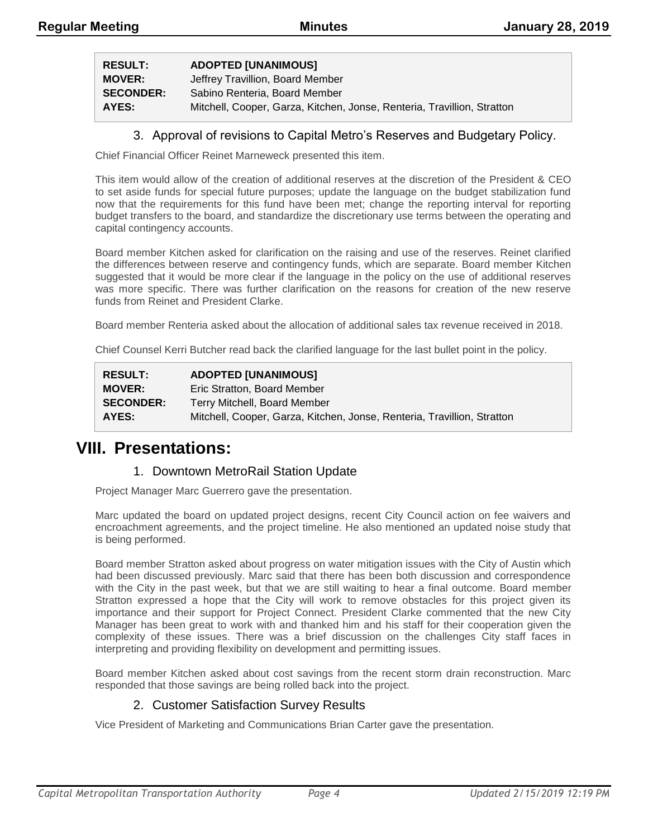| <b>RESULT:</b> | <b>ADOPTED [UNANIMOUS]</b> |
|----------------|----------------------------|
|                |                            |

| REJULI.          | <b>ADULIED JUNANINUUSI</b>                                              |
|------------------|-------------------------------------------------------------------------|
| <b>MOVER:</b>    | Jeffrey Travillion, Board Member                                        |
| <b>SECONDER:</b> | Sabino Renteria. Board Member                                           |
| AYES:            | Mitchell, Cooper, Garza, Kitchen, Jonse, Renteria, Travillion, Stratton |

#### 3. Approval of revisions to Capital Metro's Reserves and Budgetary Policy.

Chief Financial Officer Reinet Marneweck presented this item.

This item would allow of the creation of additional reserves at the discretion of the President & CEO to set aside funds for special future purposes; update the language on the budget stabilization fund now that the requirements for this fund have been met; change the reporting interval for reporting budget transfers to the board, and standardize the discretionary use terms between the operating and capital contingency accounts.

Board member Kitchen asked for clarification on the raising and use of the reserves. Reinet clarified the differences between reserve and contingency funds, which are separate. Board member Kitchen suggested that it would be more clear if the language in the policy on the use of additional reserves was more specific. There was further clarification on the reasons for creation of the new reserve funds from Reinet and President Clarke.

Board member Renteria asked about the allocation of additional sales tax revenue received in 2018.

Chief Counsel Kerri Butcher read back the clarified language for the last bullet point in the policy.

| <b>RESULT:</b>   | <b>ADOPTED [UNANIMOUS]</b>                                              |
|------------------|-------------------------------------------------------------------------|
| <b>MOVER:</b>    | Eric Stratton, Board Member                                             |
| <b>SECONDER:</b> | Terry Mitchell, Board Member                                            |
| AYES:            | Mitchell, Cooper, Garza, Kitchen, Jonse, Renteria, Travillion, Stratton |

### **VIII. Presentations:**

#### 1. Downtown MetroRail Station Update

Project Manager Marc Guerrero gave the presentation.

Marc updated the board on updated project designs, recent City Council action on fee waivers and encroachment agreements, and the project timeline. He also mentioned an updated noise study that is being performed.

Board member Stratton asked about progress on water mitigation issues with the City of Austin which had been discussed previously. Marc said that there has been both discussion and correspondence with the City in the past week, but that we are still waiting to hear a final outcome. Board member Stratton expressed a hope that the City will work to remove obstacles for this project given its importance and their support for Project Connect. President Clarke commented that the new City Manager has been great to work with and thanked him and his staff for their cooperation given the complexity of these issues. There was a brief discussion on the challenges City staff faces in interpreting and providing flexibility on development and permitting issues.

Board member Kitchen asked about cost savings from the recent storm drain reconstruction. Marc responded that those savings are being rolled back into the project.

### 2. Customer Satisfaction Survey Results

Vice President of Marketing and Communications Brian Carter gave the presentation.